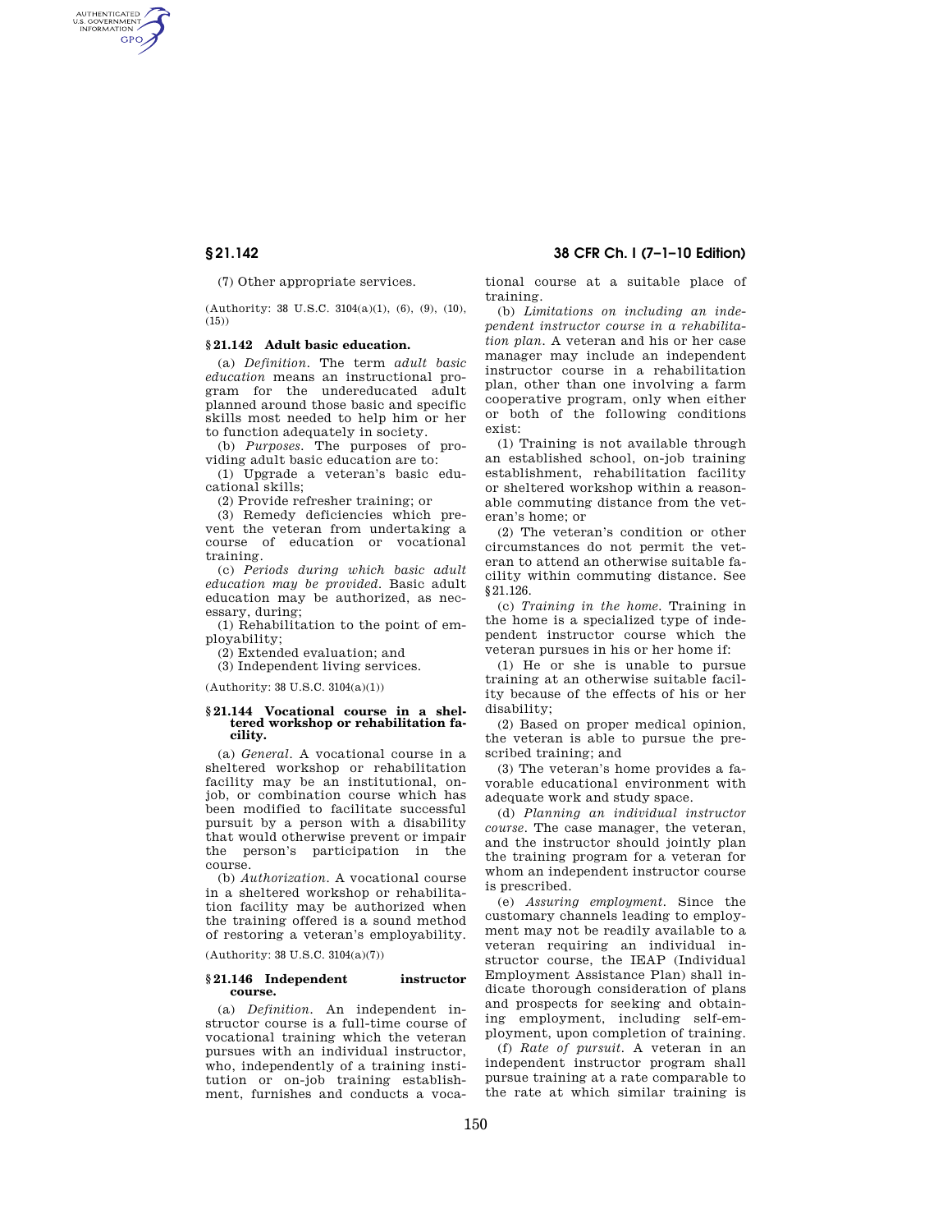AUTHENTICATED<br>U.S. GOVERNMENT<br>INFORMATION **GPO** 

(7) Other appropriate services.

(Authority: 38 U.S.C. 3104(a)(1), (6), (9), (10),  $(15)$ 

# **§ 21.142 Adult basic education.**

(a) *Definition.* The term *adult basic education* means an instructional program for the undereducated adult planned around those basic and specific skills most needed to help him or her to function adequately in society.

(b) *Purposes.* The purposes of providing adult basic education are to:

(1) Upgrade a veteran's basic educational skills;

(2) Provide refresher training; or

(3) Remedy deficiencies which prevent the veteran from undertaking a course of education or vocational training.

(c) *Periods during which basic adult education may be provided.* Basic adult education may be authorized, as necessary, during;

(1) Rehabilitation to the point of employability;

(2) Extended evaluation; and

(3) Independent living services.

(Authority: 38 U.S.C. 3104(a)(1))

#### **§ 21.144 Vocational course in a sheltered workshop or rehabilitation facility.**

(a) *General.* A vocational course in a sheltered workshop or rehabilitation facility may be an institutional, onjob, or combination course which has been modified to facilitate successful pursuit by a person with a disability that would otherwise prevent or impair the person's participation in the course.

(b) *Authorization.* A vocational course in a sheltered workshop or rehabilitation facility may be authorized when the training offered is a sound method of restoring a veteran's employability.

(Authority: 38 U.S.C. 3104(a)(7))

### **§ 21.146 Independent instructor course.**

(a) *Definition.* An independent instructor course is a full-time course of vocational training which the veteran pursues with an individual instructor, who, independently of a training institution or on-job training establishment, furnishes and conducts a voca-

**§ 21.142 38 CFR Ch. I (7–1–10 Edition)** 

tional course at a suitable place of training.

(b) *Limitations on including an independent instructor course in a rehabilitation plan.* A veteran and his or her case manager may include an independent instructor course in a rehabilitation plan, other than one involving a farm cooperative program, only when either or both of the following conditions exist:

(1) Training is not available through an established school, on-job training establishment, rehabilitation facility or sheltered workshop within a reasonable commuting distance from the veteran's home; or

(2) The veteran's condition or other circumstances do not permit the veteran to attend an otherwise suitable facility within commuting distance. See §21.126.

(c) *Training in the home.* Training in the home is a specialized type of independent instructor course which the veteran pursues in his or her home if:

(1) He or she is unable to pursue training at an otherwise suitable facility because of the effects of his or her disability;

(2) Based on proper medical opinion, the veteran is able to pursue the prescribed training; and

(3) The veteran's home provides a favorable educational environment with adequate work and study space.

(d) *Planning an individual instructor course.* The case manager, the veteran, and the instructor should jointly plan the training program for a veteran for whom an independent instructor course is prescribed.

(e) *Assuring employment.* Since the customary channels leading to employment may not be readily available to a veteran requiring an individual instructor course, the IEAP (Individual Employment Assistance Plan) shall indicate thorough consideration of plans and prospects for seeking and obtaining employment, including self-employment, upon completion of training.

(f) *Rate of pursuit.* A veteran in an independent instructor program shall pursue training at a rate comparable to the rate at which similar training is